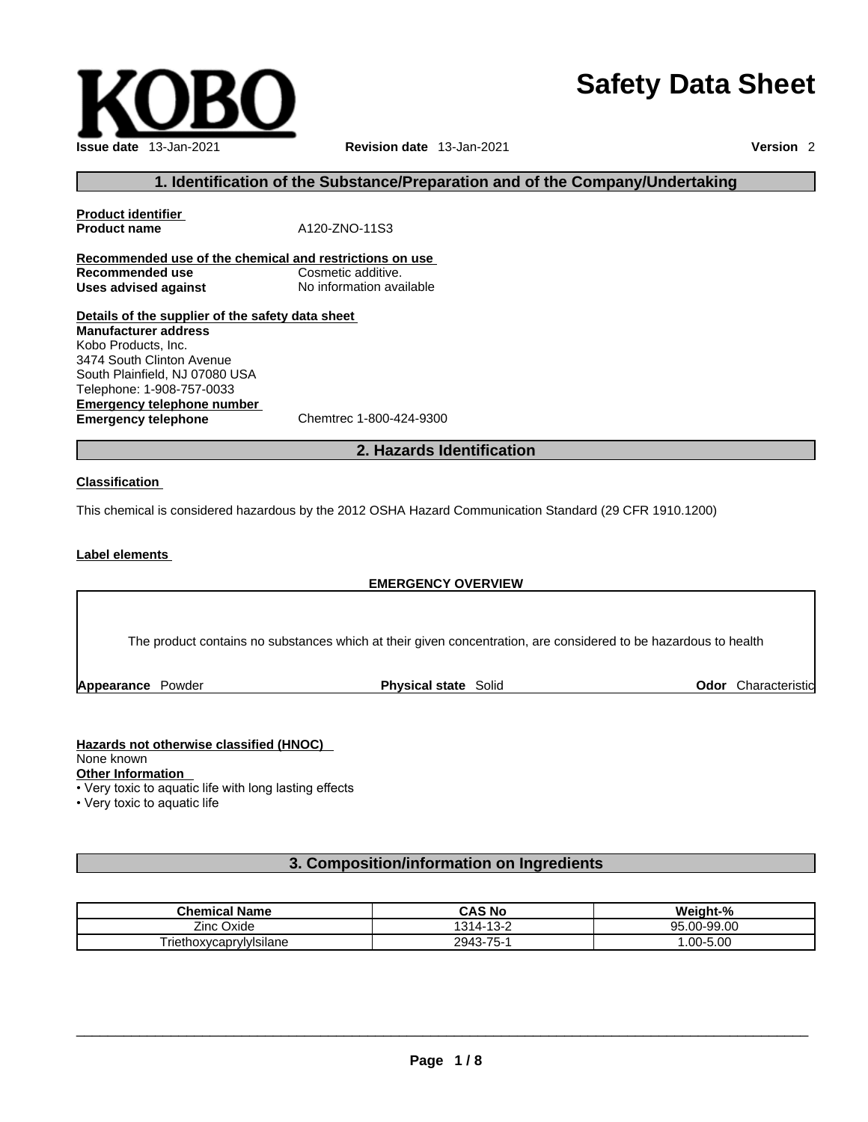# **Safety Data Sheet**



# **1. Identification of the Substance/Preparation and of the Company/Undertaking**

| <b>Product identifier</b><br><b>Product name</b>        | A120-ZNO-11S3            |  |
|---------------------------------------------------------|--------------------------|--|
|                                                         |                          |  |
| Recommended use of the chemical and restrictions on use |                          |  |
| Recommended use                                         | Cosmetic additive.       |  |
| Uses advised against                                    | No information available |  |
| Details of the supplier of the safety data sheet        |                          |  |
| <b>Manufacturer address</b>                             |                          |  |
| Kobo Products, Inc.                                     |                          |  |
| 3474 South Clinton Avenue                               |                          |  |
| South Plainfield NI 07080 USA                           |                          |  |

**Emergency telephone number**<br> **Emergency telephone**<br>
Chemtrec 1-800-424-9300 **Emergency telephone** outh Plainfield, NJ 07080 USA Telephone: 1-908-757-0033

## **2. Hazards Identification**

#### **Classification**

This chemical is considered hazardous by the 2012 OSHA Hazard Communication Standard (29 CFR 1910.1200)

#### **Label elements**

## **EMERGENCY OVERVIEW**

The product contains no substances which at their given concentration, are considered to be hazardous to health

**Appearance Powder <b>Physical state** Solid

**Odor** Characteristic

#### **Hazards not otherwise classified (HNOC)**  None known

**Other Information** 

• Very toxic to aquatic life with long lasting effects

• Very toxic to aquatic life

# **3. Composition/information on Ingredients**

| <b>Chemical Name</b>                          | CAS No                              | $\mathbf{a}$<br>.<br>Weight-% |
|-----------------------------------------------|-------------------------------------|-------------------------------|
| $- \cdot$<br>$\sim$<br>∠inc '<br><b>Oxide</b> | $1311 -$<br>$\sqrt{2}$<br>∼-<br>- ت | J-99.00<br>QБ<br>$\sim$<br>יי |
| $\sim$<br>. .<br>I riethoxycaprylyIsilane     | $3 - 75 -$<br>2943                  | $.00 - 5.00$                  |

 $\_$  ,  $\_$  ,  $\_$  ,  $\_$  ,  $\_$  ,  $\_$  ,  $\_$  ,  $\_$  ,  $\_$  ,  $\_$  ,  $\_$  ,  $\_$  ,  $\_$  ,  $\_$  ,  $\_$  ,  $\_$  ,  $\_$  ,  $\_$  ,  $\_$  ,  $\_$  ,  $\_$  ,  $\_$  ,  $\_$  ,  $\_$  ,  $\_$  ,  $\_$  ,  $\_$  ,  $\_$  ,  $\_$  ,  $\_$  ,  $\_$  ,  $\_$  ,  $\_$  ,  $\_$  ,  $\_$  ,  $\_$  ,  $\_$  ,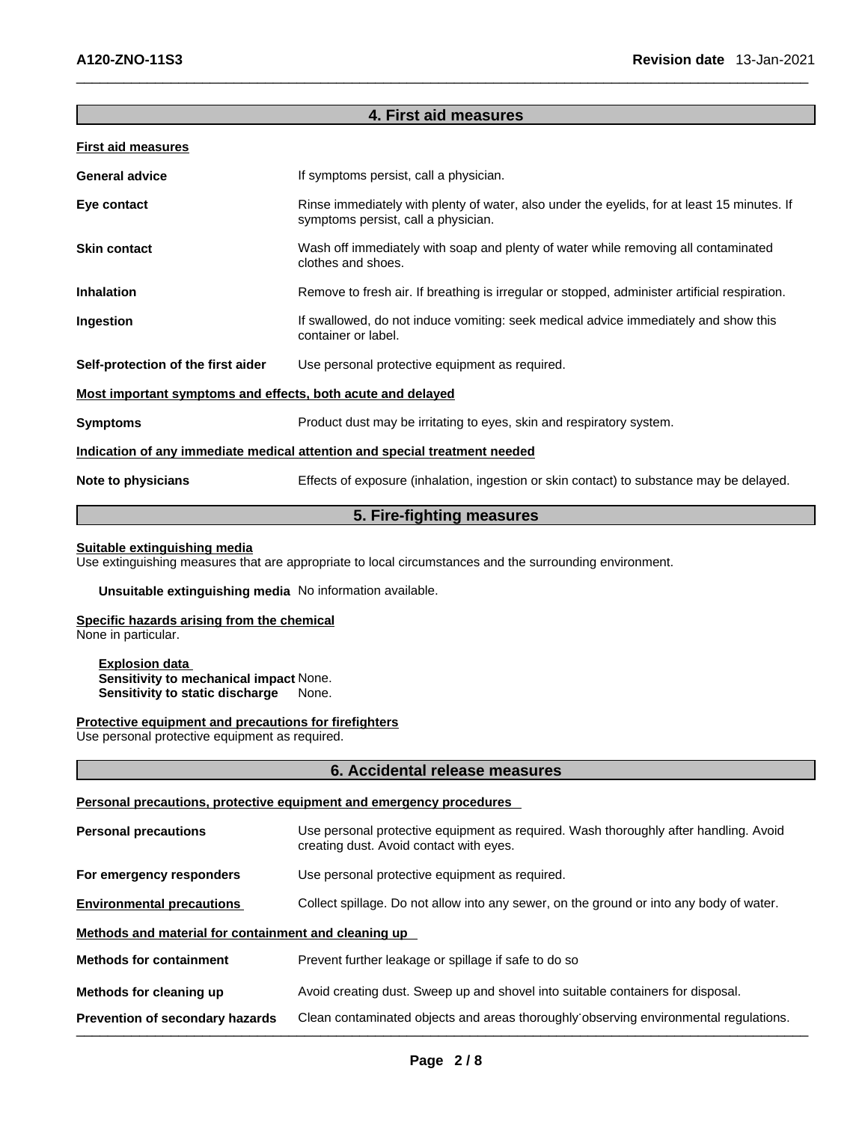| 4. First aid measures                                                      |                                                                                                                                    |  |  |
|----------------------------------------------------------------------------|------------------------------------------------------------------------------------------------------------------------------------|--|--|
| <b>First aid measures</b>                                                  |                                                                                                                                    |  |  |
| <b>General advice</b>                                                      | If symptoms persist, call a physician.                                                                                             |  |  |
| Eye contact                                                                | Rinse immediately with plenty of water, also under the eyelids, for at least 15 minutes. If<br>symptoms persist, call a physician. |  |  |
| <b>Skin contact</b>                                                        | Wash off immediately with soap and plenty of water while removing all contaminated<br>clothes and shoes.                           |  |  |
| <b>Inhalation</b>                                                          | Remove to fresh air. If breathing is irregular or stopped, administer artificial respiration.                                      |  |  |
| Ingestion                                                                  | If swallowed, do not induce vomiting: seek medical advice immediately and show this<br>container or label.                         |  |  |
| Self-protection of the first aider                                         | Use personal protective equipment as required.                                                                                     |  |  |
| Most important symptoms and effects, both acute and delayed                |                                                                                                                                    |  |  |
| <b>Symptoms</b>                                                            | Product dust may be irritating to eyes, skin and respiratory system.                                                               |  |  |
| Indication of any immediate medical attention and special treatment needed |                                                                                                                                    |  |  |
| Note to physicians                                                         | Effects of exposure (inhalation, ingestion or skin contact) to substance may be delayed.                                           |  |  |

# **5. Fire-fighting measures**

#### **Suitable extinguishing media**

Use extinguishing measures that are appropriate to local circumstances and the surrounding environment.

**Unsuitable extinguishing media** No information available.

#### **Specific hazards arising from the chemical**

None in particular.

**Explosion data Sensitivity to mechanical impact** None. **Sensitivity to static discharge** 

#### **Protective equipment and precautions for firefighters**

Use personal protective equipment as required.

# **6. Accidental release measures**

## **Personal precautions, protective equipment and emergency procedures**

| <b>Personal precautions</b>                          | Use personal protective equipment as required. Wash thoroughly after handling. Avoid<br>creating dust. Avoid contact with eyes. |
|------------------------------------------------------|---------------------------------------------------------------------------------------------------------------------------------|
| For emergency responders                             | Use personal protective equipment as required.                                                                                  |
| <b>Environmental precautions</b>                     | Collect spillage. Do not allow into any sewer, on the ground or into any body of water.                                         |
| Methods and material for containment and cleaning up |                                                                                                                                 |
| <b>Methods for containment</b>                       | Prevent further leakage or spillage if safe to do so                                                                            |
| Methods for cleaning up                              | Avoid creating dust. Sweep up and shovel into suitable containers for disposal.                                                 |
| Prevention of secondary hazards                      | Clean contaminated objects and areas thoroughly observing environmental regulations.                                            |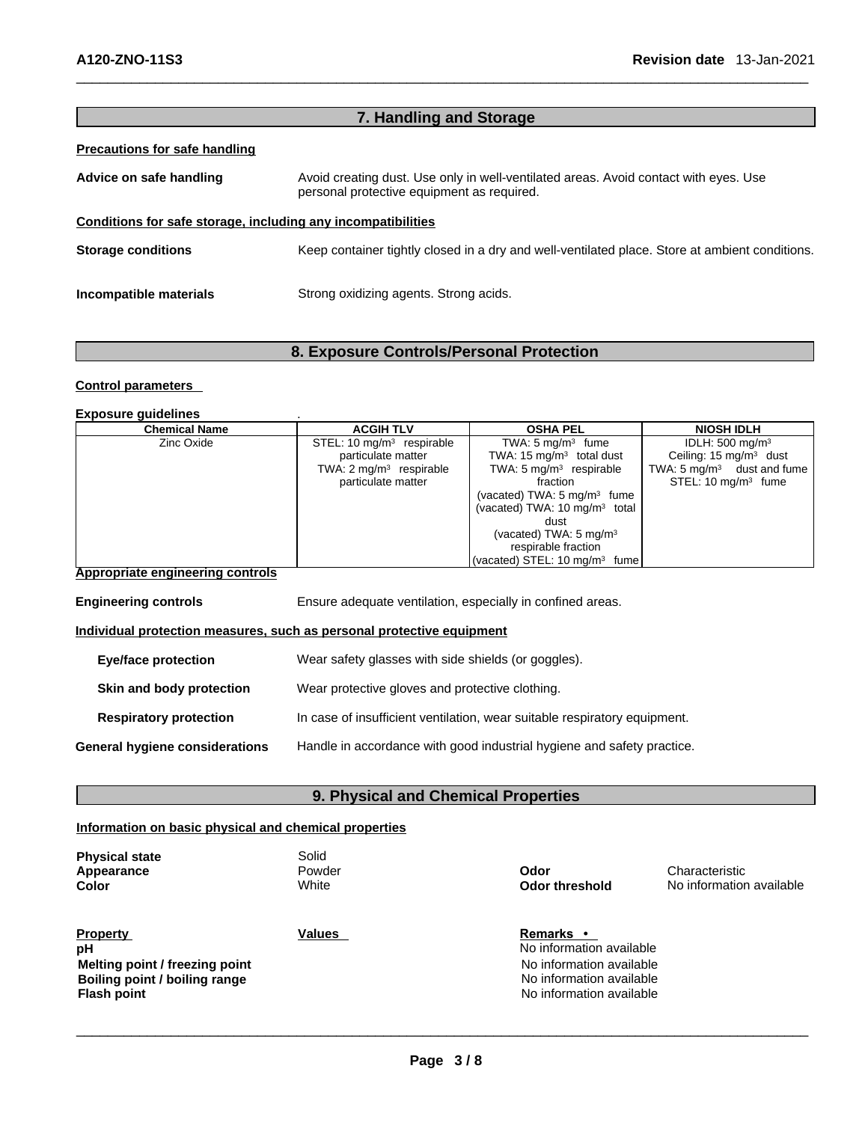| 7. Handling and Storage                                      |                                                                                                                                    |  |
|--------------------------------------------------------------|------------------------------------------------------------------------------------------------------------------------------------|--|
| Precautions for safe handling                                |                                                                                                                                    |  |
| Advice on safe handling                                      | Avoid creating dust. Use only in well-ventilated areas. Avoid contact with eyes. Use<br>personal protective equipment as required. |  |
| Conditions for safe storage, including any incompatibilities |                                                                                                                                    |  |
| <b>Storage conditions</b>                                    | Keep container tightly closed in a dry and well-ventilated place. Store at ambient conditions.                                     |  |
| Incompatible materials                                       | Strong oxidizing agents. Strong acids.                                                                                             |  |

# **8. Exposure Controls/Personal Protection**

## **Control parameters**

**Exposure guidelines** .

| Chemical Name                    | <b>ACGIH TLV</b>                   | <b>OSHA PEL</b>                          | <b>NIOSH IDLH</b>                     |
|----------------------------------|------------------------------------|------------------------------------------|---------------------------------------|
| Zinc Oxide                       | STEL: 10 $mq/m3$ respirable        | TWA: $5 \text{ mg/m}^3$ fume             | IDLH: $500 \text{ mg/m}^3$            |
|                                  | particulate matter                 | TWA: 15 $mq/m3$ total dust               | Ceiling: $15 \text{ mg/m}^3$ dust     |
|                                  | TWA: $2 \text{ mg/m}^3$ respirable | TWA: $5 \text{ mg/m}^3$ respirable       | TWA: $5 \text{ mg/m}^3$ dust and fume |
|                                  | particulate matter                 | fraction                                 | STEL: $10 \text{ mg/m}^3$ fume        |
|                                  |                                    | (vacated) TWA: $5 \text{ mg/m}^3$ fume   |                                       |
|                                  |                                    | (vacated) TWA: $10 \text{ mg/m}^3$ total |                                       |
|                                  |                                    | dust                                     |                                       |
|                                  |                                    | (vacated) TWA: $5 \text{ mg/m}^3$        |                                       |
|                                  |                                    | respirable fraction                      |                                       |
|                                  |                                    | (vacated) STEL: $10 \text{ mg/m}^3$ fume |                                       |
| Appropriate engineering controls |                                    |                                          |                                       |

| <b>Engineering controls</b>    | Ensure adequate ventilation, especially in confined areas.                |  |
|--------------------------------|---------------------------------------------------------------------------|--|
|                                | Individual protection measures, such as personal protective equipment     |  |
| <b>Eye/face protection</b>     | Wear safety glasses with side shields (or goggles).                       |  |
| Skin and body protection       | Wear protective gloves and protective clothing.                           |  |
| <b>Respiratory protection</b>  | In case of insufficient ventilation, wear suitable respiratory equipment. |  |
| General hygiene considerations | Handle in accordance with good industrial hygiene and safety practice.    |  |

# **9. Physical and Chemical Properties**

# **Information on basic physical and chemical properties**

| <b>Physical state</b><br>Appearance<br><b>Color</b>     | Solid<br>Powder<br>White | Odor<br><b>Odor threshold</b>                                            | Characteristic<br>No information available |
|---------------------------------------------------------|--------------------------|--------------------------------------------------------------------------|--------------------------------------------|
| <b>Property</b><br>pH<br>Melting point / freezing point | Values                   | <b>Remarks</b> •<br>No information available<br>No information available |                                            |

**Boiling point / boiling range No information available No information available Flash point Provided Provided Provided No information available** 

 $\_$  ,  $\_$  ,  $\_$  ,  $\_$  ,  $\_$  ,  $\_$  ,  $\_$  ,  $\_$  ,  $\_$  ,  $\_$  ,  $\_$  ,  $\_$  ,  $\_$  ,  $\_$  ,  $\_$  ,  $\_$  ,  $\_$  ,  $\_$  ,  $\_$  ,  $\_$  ,  $\_$  ,  $\_$  ,  $\_$  ,  $\_$  ,  $\_$  ,  $\_$  ,  $\_$  ,  $\_$  ,  $\_$  ,  $\_$  ,  $\_$  ,  $\_$  ,  $\_$  ,  $\_$  ,  $\_$  ,  $\_$  ,  $\_$  , **Page 3 / 8**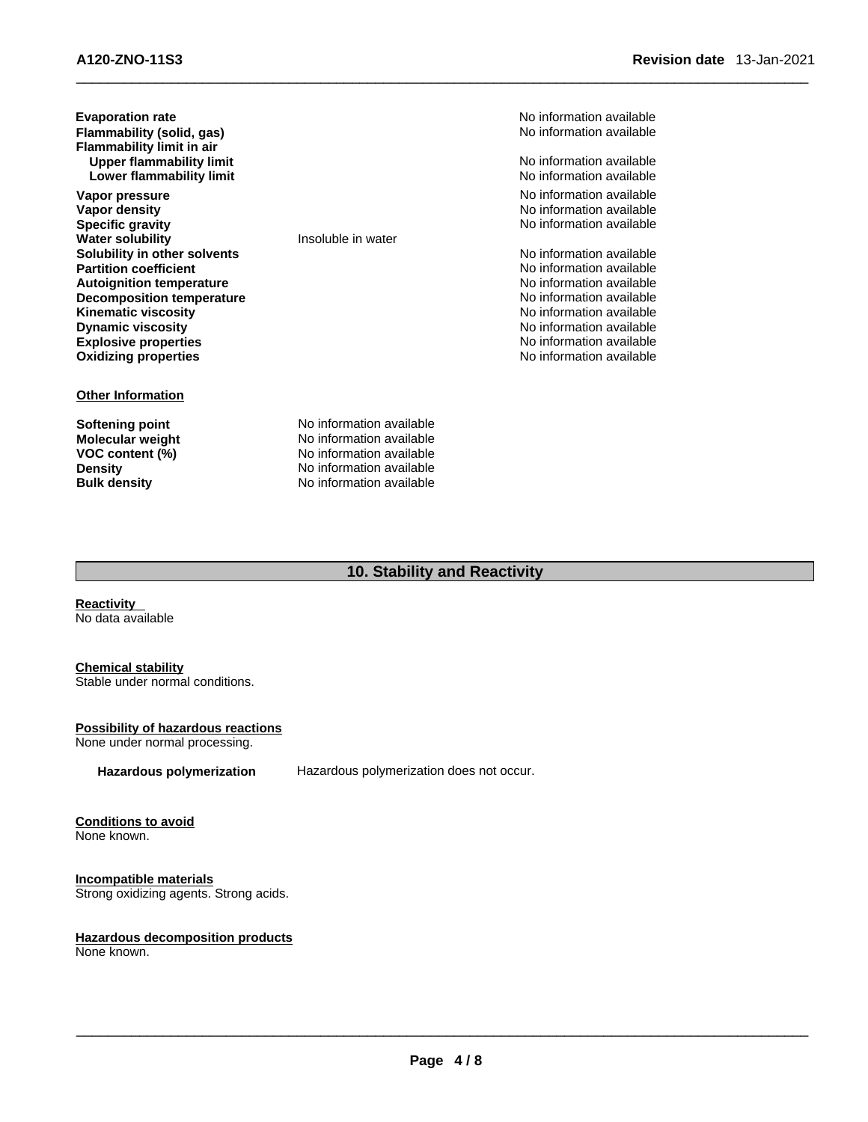| <b>Evaporation rate</b><br>Flammability (solid, gas)<br>Flammability limit in air<br><b>Upper flammability limit</b> | No information available<br>No information available<br>No information available |
|----------------------------------------------------------------------------------------------------------------------|----------------------------------------------------------------------------------|
| Lower flammability limit                                                                                             | No information available                                                         |
| Vapor pressure                                                                                                       | No information available                                                         |
| Vapor density                                                                                                        | No information available                                                         |
| <b>Specific gravity</b>                                                                                              | No information available                                                         |
| <b>Water solubility</b>                                                                                              | Insoluble in water                                                               |
| Solubility in other solvents                                                                                         | No information available                                                         |
| <b>Partition coefficient</b>                                                                                         | No information available                                                         |
| <b>Autoignition temperature</b>                                                                                      | No information available                                                         |
| <b>Decomposition temperature</b>                                                                                     | No information available                                                         |
| <b>Kinematic viscosity</b>                                                                                           | No information available                                                         |
| <b>Dynamic viscosity</b>                                                                                             | No information available                                                         |
| <b>Explosive properties</b>                                                                                          | No information available                                                         |
| <b>Oxidizing properties</b>                                                                                          | No information available                                                         |
| <b>Other Information</b>                                                                                             |                                                                                  |
| Softening point                                                                                                      | No information available                                                         |
| <b>Molecular weight</b>                                                                                              | No information available                                                         |
| VOC content (%)                                                                                                      | No information available                                                         |

**No information available** 

# **10. Stability and Reactivity**

**Reactivity**  No data available

## **Chemical stability**

Stable under normal conditions.

#### **Possibility of hazardous reactions**

**Density Density No information available**<br> **Bulk density No information available** 

None under normal processing.

**Hazardous polymerization** Hazardous polymerization does not occur.

#### **Conditions to avoid** None known.

**Incompatible materials** Strong oxidizing agents. Strong acids.

#### **Hazardous decomposition products**

None known.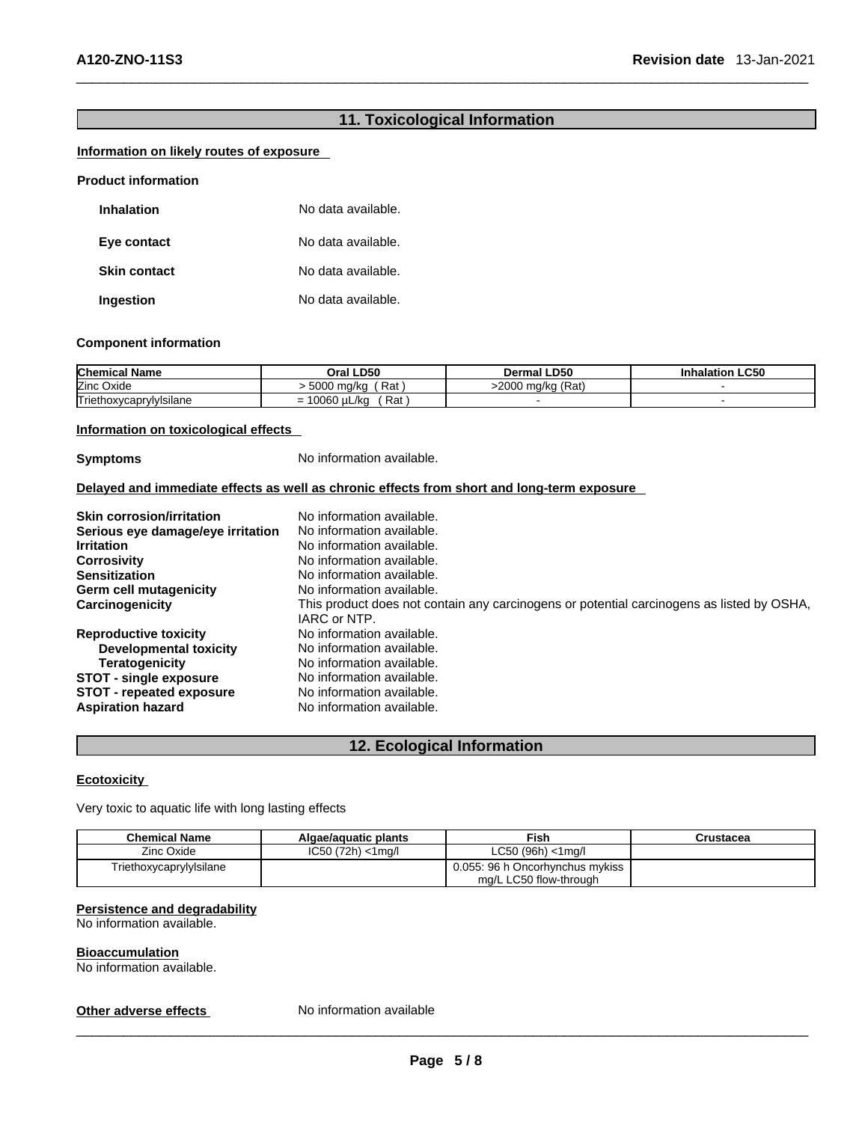# **11. Toxicological Information**

# **Information on likely routes of exposure**

| <b>Product information</b> |                    |  |
|----------------------------|--------------------|--|
| <b>Inhalation</b>          | No data available. |  |
| Eye contact                | No data available. |  |
| <b>Skin contact</b>        | No data available. |  |
| Ingestion                  | No data available. |  |

## **Component information**

| <b>Chemical Name</b>    | Oral LD50                                 | <b>Dermal LD50</b>      | .C50<br>Inhalatior |
|-------------------------|-------------------------------------------|-------------------------|--------------------|
| Zinc Oxide              | 5000<br>Rat<br>ma/kc                      | (Rat)<br>∩∩∩<br>) ma/ka |                    |
| Triethoxycaprylylsilane | Rat<br>0.000<br>uL/kc<br><b>0060</b><br>- |                         |                    |

### **Information on toxicological effects**

**Symptoms** No information available.

# **Delayed and immediate effects as well as chronic effects from short and long-term exposure**

| <b>Skin corrosion/irritation</b>  | No information available.                                                                 |
|-----------------------------------|-------------------------------------------------------------------------------------------|
| Serious eye damage/eye irritation | No information available.                                                                 |
| <b>Irritation</b>                 | No information available.                                                                 |
| <b>Corrosivity</b>                | No information available.                                                                 |
| <b>Sensitization</b>              | No information available.                                                                 |
| Germ cell mutagenicity            | No information available.                                                                 |
| Carcinogenicity                   | This product does not contain any carcinogens or potential carcinogens as listed by OSHA, |
|                                   | IARC or NTP.                                                                              |
| <b>Reproductive toxicity</b>      | No information available.                                                                 |
| <b>Developmental toxicity</b>     | No information available.                                                                 |
| Teratogenicity                    | No information available.                                                                 |
| <b>STOT - single exposure</b>     | No information available.                                                                 |
| <b>STOT - repeated exposure</b>   | No information available.                                                                 |
| <b>Aspiration hazard</b>          | No information available.                                                                 |

# **12. Ecological Information**

# **Ecotoxicity**

Very toxic to aquatic life with long lasting effects

| <b>Chemical Name</b>    | Algae/aguatic plants | Fish                            | Crustacea |
|-------------------------|----------------------|---------------------------------|-----------|
| Zinc Oxide              | IC50 (72h) < 1ma/l   | LC50 (96h) < 1ma/l              |           |
| Triethoxycaprylylsilane |                      | 0.055: 96 h Oncorhynchus mykiss |           |
|                         |                      | mg/L LC50 flow-through          |           |

#### **Persistence and degradability**

No information available.

#### **Bioaccumulation**

No information available.

## **Other adverse effects** No information available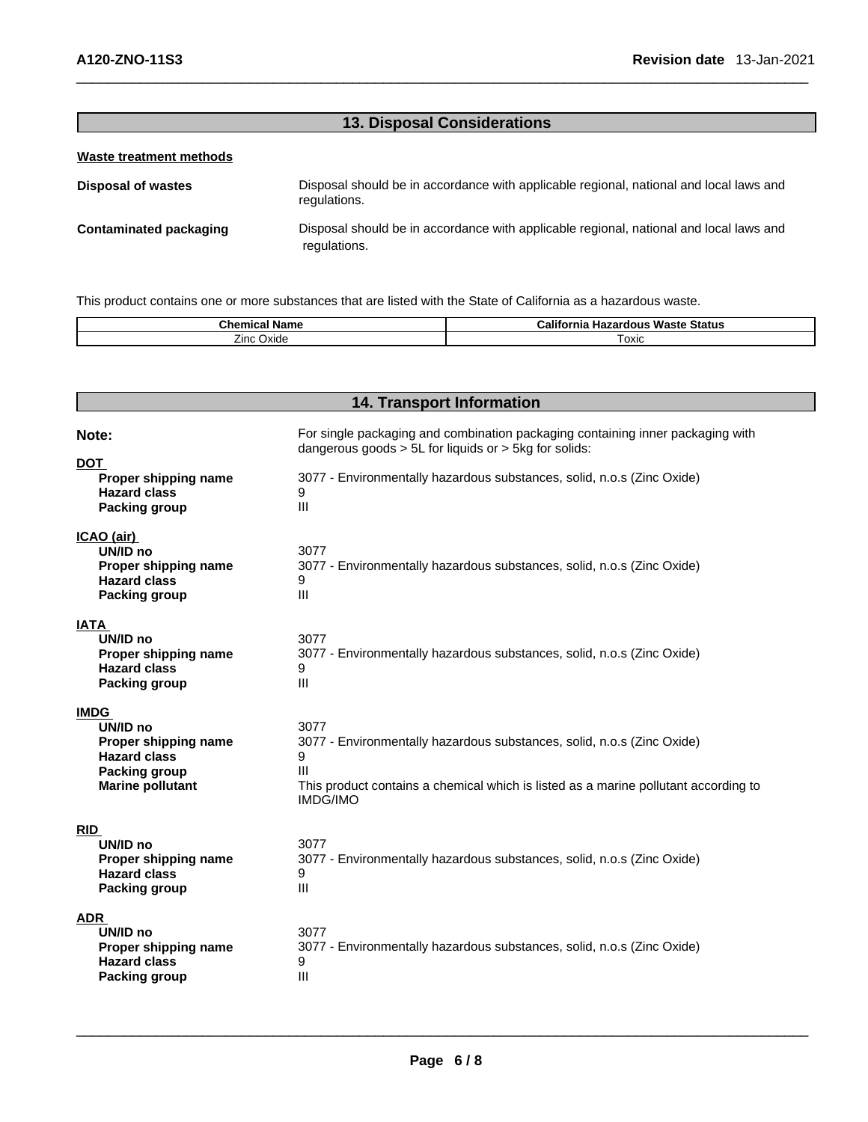# **13. Disposal Considerations**

# **Waste treatment methods**

| Disposal of wastes            | Disposal should be in accordance with applicable regional, national and local laws and<br>regulations. |
|-------------------------------|--------------------------------------------------------------------------------------------------------|
| <b>Contaminated packaging</b> | Disposal should be in accordance with applicable regional, national and local laws and<br>regulations. |

This product contains one or more substances that are listed with the State of California as a hazardous waste.

| Name<br>Chemical   | $\blacksquare$<br>California<br>⊦ Status<br>Waste<br>Hazardous |
|--------------------|----------------------------------------------------------------|
| -<br>Oxide<br>∠ınc | oxic                                                           |

# **14. Transport Information**

| Note:                                                                                                                     | For single packaging and combination packaging containing inner packaging with<br>dangerous goods $> 5L$ for liquids or $> 5kg$ for solids:                                                        |
|---------------------------------------------------------------------------------------------------------------------------|----------------------------------------------------------------------------------------------------------------------------------------------------------------------------------------------------|
| <b>DOT</b><br>Proper shipping name<br><b>Hazard class</b><br><b>Packing group</b>                                         | 3077 - Environmentally hazardous substances, solid, n.o.s (Zinc Oxide)<br>9<br>III                                                                                                                 |
| ICAO (air)<br>UN/ID no<br>Proper shipping name<br><b>Hazard class</b><br><b>Packing group</b>                             | 3077<br>3077 - Environmentally hazardous substances, solid, n.o.s (Zinc Oxide)<br>9<br>III                                                                                                         |
| IATA<br>UN/ID no<br>Proper shipping name<br><b>Hazard class</b><br><b>Packing group</b>                                   | 3077<br>3077 - Environmentally hazardous substances, solid, n.o.s (Zinc Oxide)<br>9<br>Ш                                                                                                           |
| <b>IMDG</b><br>UN/ID no<br>Proper shipping name<br><b>Hazard class</b><br><b>Packing group</b><br><b>Marine pollutant</b> | 3077<br>3077 - Environmentally hazardous substances, solid, n.o.s (Zinc Oxide)<br>9<br>Ш<br>This product contains a chemical which is listed as a marine pollutant according to<br><b>IMDG/IMO</b> |
| <b>RID</b><br>UN/ID no<br>Proper shipping name<br><b>Hazard class</b><br><b>Packing group</b>                             | 3077<br>3077 - Environmentally hazardous substances, solid, n.o.s (Zinc Oxide)<br>9<br>III                                                                                                         |
| <b>ADR</b><br>UN/ID no<br>Proper shipping name<br><b>Hazard class</b><br><b>Packing group</b>                             | 3077<br>3077 - Environmentally hazardous substances, solid, n.o.s (Zinc Oxide)<br>9<br>Ш                                                                                                           |

 $\_$  ,  $\_$  ,  $\_$  ,  $\_$  ,  $\_$  ,  $\_$  ,  $\_$  ,  $\_$  ,  $\_$  ,  $\_$  ,  $\_$  ,  $\_$  ,  $\_$  ,  $\_$  ,  $\_$  ,  $\_$  ,  $\_$  ,  $\_$  ,  $\_$  ,  $\_$  ,  $\_$  ,  $\_$  ,  $\_$  ,  $\_$  ,  $\_$  ,  $\_$  ,  $\_$  ,  $\_$  ,  $\_$  ,  $\_$  ,  $\_$  ,  $\_$  ,  $\_$  ,  $\_$  ,  $\_$  ,  $\_$  ,  $\_$  ,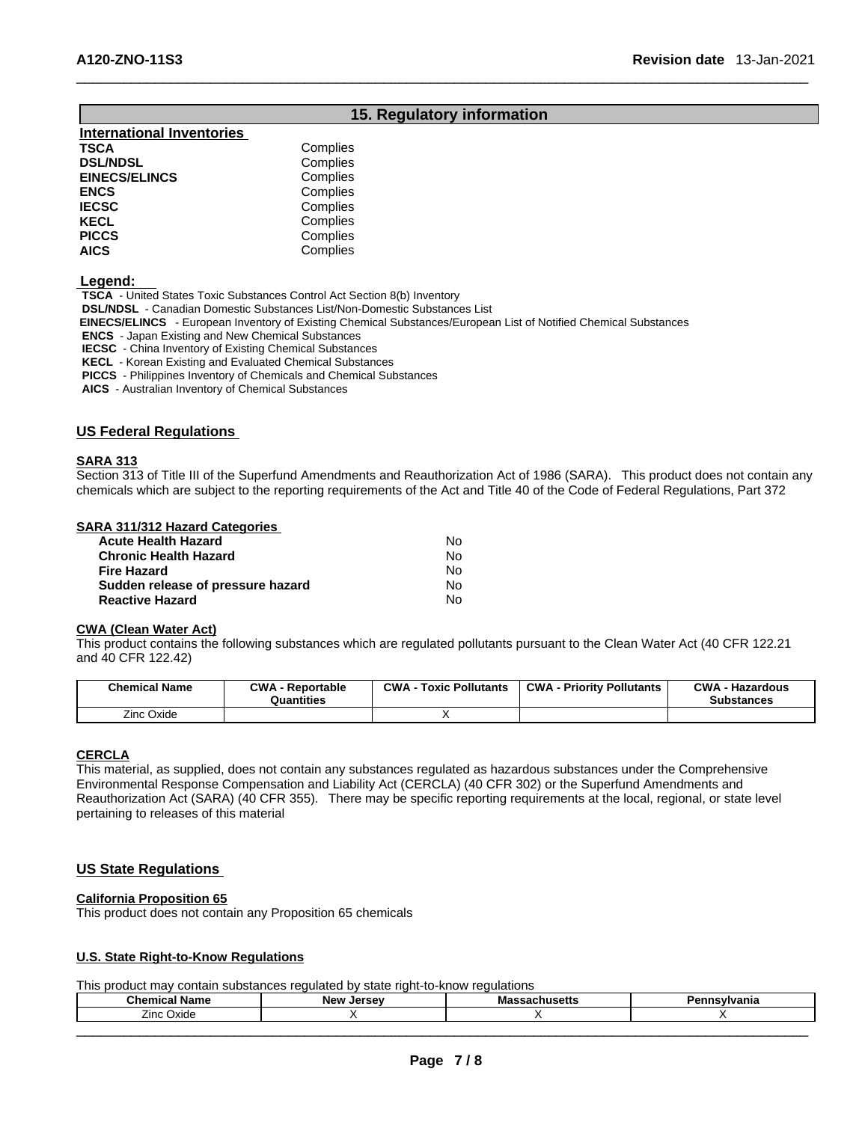# **15. Regulatory information**

| Complies |
|----------|
| Complies |
| Complies |
| Complies |
| Complies |
| Complies |
| Complies |
| Complies |
|          |

#### **Legend:**

**TSCA** - United States Toxic Substances Control Act Section 8(b) Inventory

**DSL/NDSL** - Canadian Domestic Substances List/Non-Domestic Substances List

 **EINECS/ELINCS** - European Inventory of Existing Chemical Substances/European List of Notified Chemical Substances

**ENCS** - Japan Existing and New Chemical Substances

**IECSC** - China Inventory of Existing Chemical Substances

**KECL** - Korean Existing and Evaluated Chemical Substances

**PICCS** - Philippines Inventory of Chemicals and Chemical Substances

**AICS** - Australian Inventory of Chemical Substances

#### **US Federal Regulations**

### **SARA 313**

Section 313 of Title III of the Superfund Amendments and Reauthorization Act of 1986 (SARA). This product does not contain any chemicals which are subject to the reporting requirements of the Act and Title 40 of the Code of Federal Regulations, Part 372

#### **SARA 311/312 Hazard Categories**

| <b>Acute Health Hazard</b>        | N٥ |  |
|-----------------------------------|----|--|
| <b>Chronic Health Hazard</b>      | N٥ |  |
| Fire Hazard                       | N٥ |  |
| Sudden release of pressure hazard | N٥ |  |
| <b>Reactive Hazard</b>            | N٥ |  |

### **CWA** (Clean Water Act)

This product contains the following substances which are regulated pollutants pursuant to the Clean Water Act (40 CFR 122.21 and 40 CFR 122.42)

| <b>Chemical Name</b> | <b>CWA - Reportable</b><br>Quantities | <b>CWA - Toxic Pollutants</b> | <b>CWA - Priority Pollutants</b> | <b>CWA - Hazardous</b><br>Substances |
|----------------------|---------------------------------------|-------------------------------|----------------------------------|--------------------------------------|
| Zinc Oxide           |                                       |                               |                                  |                                      |

#### **CERCLA**

This material, as supplied, does not contain any substances regulated as hazardous substances under the Comprehensive Environmental Response Compensation and Liability Act (CERCLA) (40 CFR 302) or the Superfund Amendments and Reauthorization Act (SARA) (40 CFR 355). There may be specific reporting requirements at the local, regional, or state level pertaining to releases of this material

# **US State Regulations**

# **California Proposition 65**

This product does not contain any Proposition 65 chemicals

#### **U.S. State Right-to-Know Regulations**

This product may contain substances regulated by state right-to-know regulations

| Chemical<br><b>Name</b> | <b>New</b><br>Jersev | BGW | ∵'vani∝<br>$\sim$ |
|-------------------------|----------------------|-----|-------------------|
| <b>Zinc Oxide</b>       |                      |     |                   |
|                         |                      |     |                   |